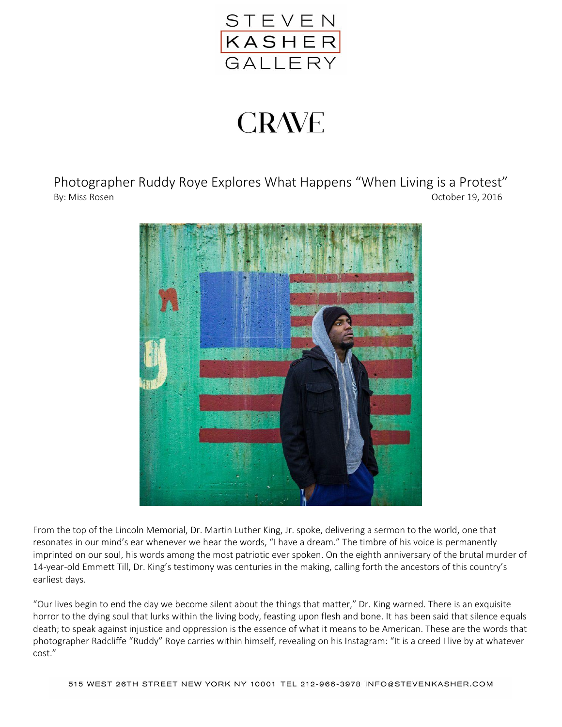

## **CRAVE**

Photographer Ruddy Roye Explores What Happens "When Living is a Protest" By: Miss Rosen **October 19, 2016** 



From the top of the Lincoln Memorial, Dr. Martin Luther King, Jr. spoke, delivering a sermon to the world, one that resonates in our mind's ear whenever we hear the words, "I have a dream." The timbre of his voice is permanently imprinted on our soul, his words among the most patriotic ever spoken. On the eighth anniversary of the brutal murder of 14-year-old Emmett Till, Dr. King's testimony was centuries in the making, calling forth the ancestors of this country's earliest days.

"Our lives begin to end the day we become silent about the things that matter," Dr. King warned. There is an exquisite horror to the dying soul that lurks within the living body, feasting upon flesh and bone. It has been said that silence equals death; to speak against injustice and oppression is the essence of what it means to be American. These are the words that photographer Radcliffe "Ruddy" Roye carries within himself, revealing on his Instagram: "It is a creed I live by at whatever cost."